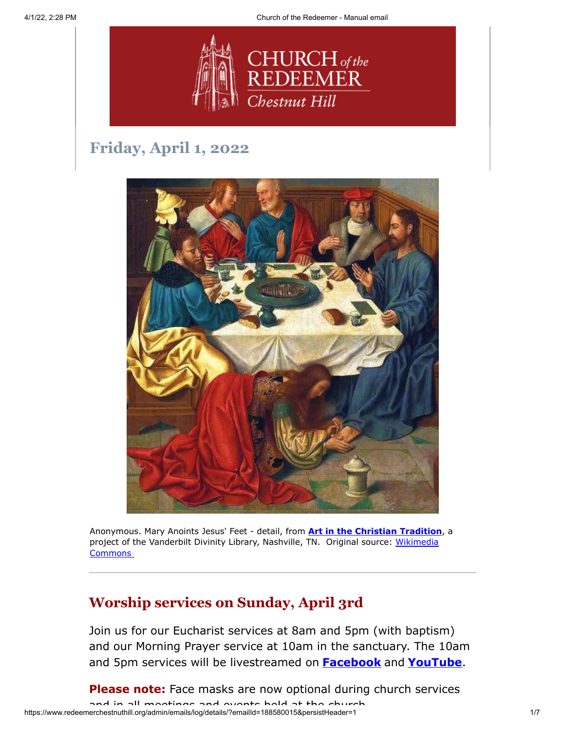4/1/22, 2:28 PM Church of the Redeemer - Manual email



# **Friday, April 1, 2022**



Anonymous. Mary Anoints Jesus' Feet - detail, from **[Art in the Christian Tradition](https://diglib.library.vanderbilt.edu/act-imagelink.pl?RC=56139)**, a [project of the Vanderbilt Divinity Library, Nashville, TN.](https://commons.wikimedia.org/wiki/File:German_School,_16th_Century_-_Mary_Magdalene_anointing_the_feet_of_Christ.jpg.) Original source: Wikimedia **Commons** 

# **Worship services on Sunday, April 3rd**

Join us for our Eucharist services at 8am and 5pm (with baptism) and our Morning Prayer service at 10am in the sanctuary. The 10am and 5pm services will be livestreamed on **[Facebook](https://www.facebook.com/redeemerchestnuthill)** and **[YouTube](https://www.youtube.com/channel/UCuF2ATr93WfFYaj4XlyKKDw)**.

**Please note:** Face masks are now optional during church services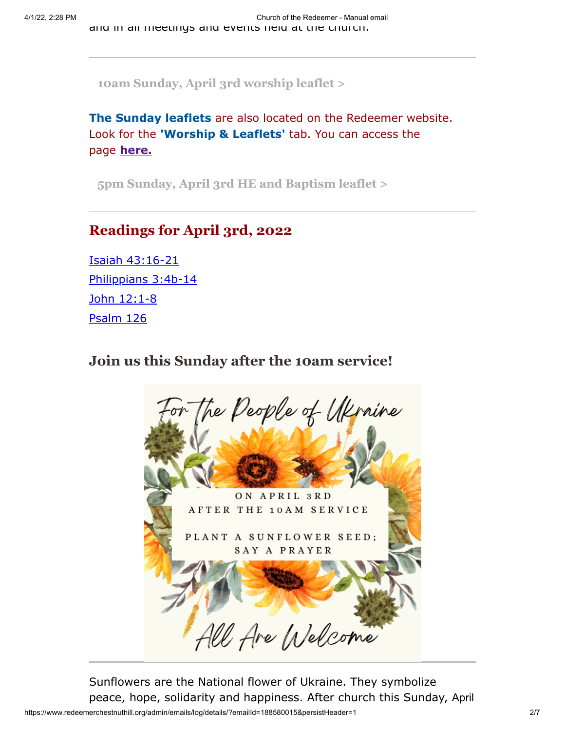**[10am Sunday, April 3rd worship leaflet >](https://drive.google.com/file/d/1bcZwXC4pTGnmnVhsZlasM97FskG29ITz/view?usp=sharing)**

**The Sunday leaflets** are also located on the Redeemer website. Look for the **'Worship & Leaflets'** tab. You can access the page **[here.](https://www.redeemerchestnuthill.org/worship-services)**

**[5pm Sunday, April 3rd HE and Baptism leaflet >](https://drive.google.com/file/d/1b6_MBLhNFJ2uuV0aE7D90mo3gu3Nif6r/view?usp=sharing)**

# **Readings for April 3rd, 2022**

[Isaiah 43:16-21](https://www.lectionarypage.net/YearC_RCL/Lent/CLent5_RCL.html#ot1) [Philippians 3:4b-14](https://www.lectionarypage.net/YearC_RCL/Lent/CLent5_RCL.html#nt1) [John 12:1-8](https://www.lectionarypage.net/YearC_RCL/Lent/CLent5_RCL.html#gsp1) [Psalm 126](https://www.lectionarypage.net/YearC_RCL/Lent/CLent5_RCL.html#ps1)

# **Join us this Sunday after the 10am service!**



https://www.redeemerchestnuthill.org/admin/emails/log/details/?emailId=188580015&persistHeader=1 2/7 Sunflowers are the National flower of Ukraine. They symbolize peace, hope, solidarity and happiness. After church this Sunday, April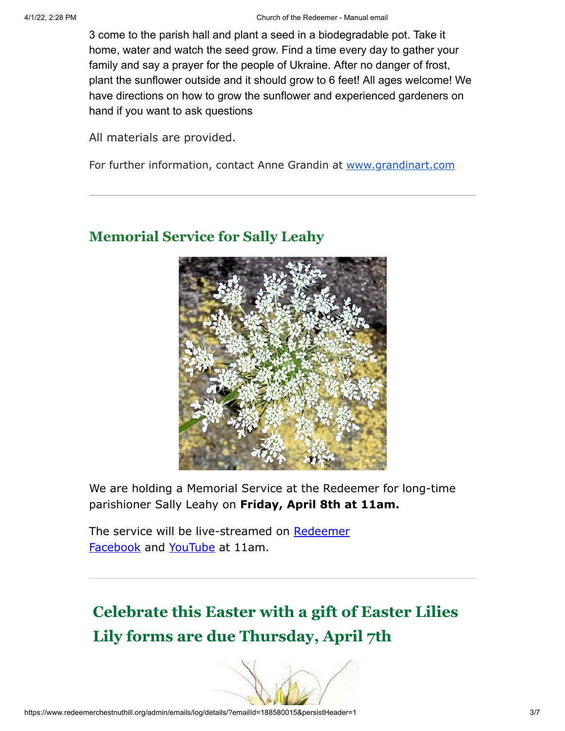3 come to the parish hall and plant a seed in a biodegradable pot. Take it home, water and watch the seed grow. Find a time every day to gather your family and say a prayer for the people of Ukraine. After no danger of frost, plant the sunflower outside and it should grow to 6 feet! All ages welcome! We have directions on how to grow the sunflower and experienced gardeners on hand if you want to ask questions

All materials are provided.

For further information, contact Anne Grandin at [www.grandinart.com](http://www.grandinart.com/)

## **Memorial Service for Sally Leahy**



We are holding a Memorial Service at the Redeemer for long-time parishioner Sally Leahy on **Friday, April 8th at 11am.**

[The service will be live-streamed on](https://www.facebook.com/redeemerchestnuthill) Redeemer Facebook and [YouTube](https://www.youtube.com/channel/UCuF2ATr93WfFYaj4XlyKKDw) at 11am.

**Celebrate this Easter with a gift of Easter Lilies Lily forms are due Thursday, April 7th**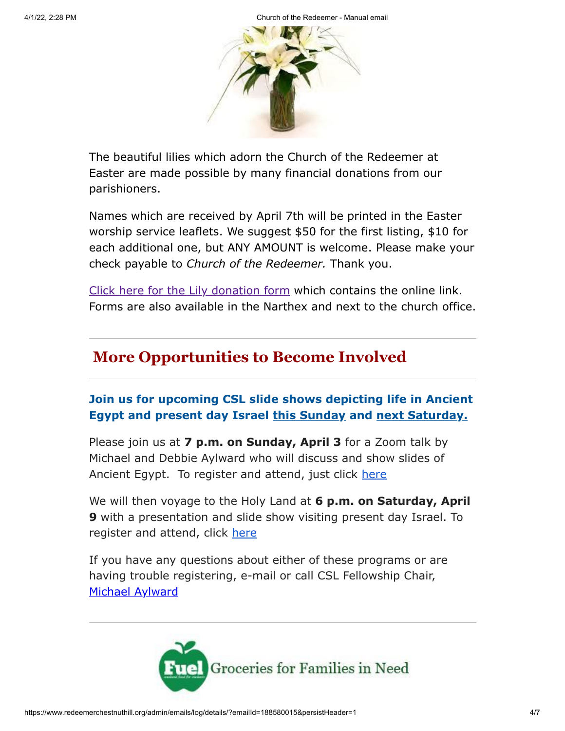4/1/22, 2:28 PM Church of the Redeemer - Manual email



The beautiful lilies which adorn the Church of the Redeemer at Easter are made possible by many financial donations from our parishioners.

Names which are received by April 7th will be printed in the Easter worship service leaflets. We suggest \$50 for the first listing, \$10 for each additional one, but ANY AMOUNT is welcome. Please make your check payable to *Church of the Redeemer.* Thank you.

[Click here for the Lily donation form](https://drive.google.com/open?id=1MmMW3R5ESQWhQAdeR1mlJ-otLnxne_oj&authuser=office%40redeemerchestnuthill.org&usp=drive_fs) which contains the online link. Forms are also available in the Narthex and next to the church office.

# **More Opportunities to Become Involved**

### **Join us for upcoming CSL slide shows depicting life in Ancient Egypt and present day Israel this Sunday and next Saturday.**

Please join us at **7 p.m. on Sunday, April 3** for a Zoom talk by Michael and Debbie Aylward who will discuss and show slides of Ancient Egypt. To register and attend, just click [here](https://us06web.zoom.us/j/81631904762?pwd=cmY5NUNpd1VjRnpRak5jZUgrS1NMUT09)

We will then voyage to the Holy Land at **6 p.m. on Saturday, April 9** with a presentation and slide show visiting present day Israel. To register and attend, click [here](https://us06web.zoom.us/j/83936221752?pwd=RUhLRmsrcWNCYk5ObC8zT2RiRVNjdz09)

If you have any questions about either of these programs or are having trouble registering, e-mail or call CSL Fellowship Chair, [Michael Aylward](mailto:MAylward@morrisonmahoney.com)

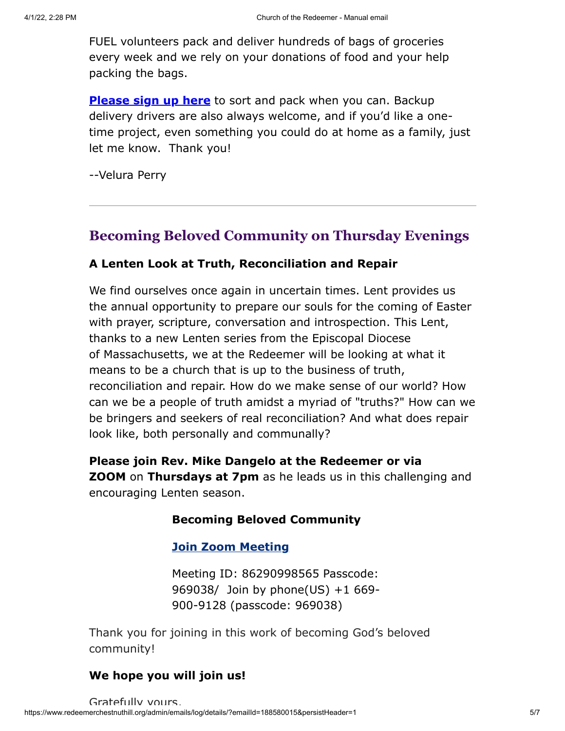FUEL volunteers pack and deliver hundreds of bags of groceries every week and we rely on your donations of food and your help packing the bags.

**[Please sign up here](https://signup.com/go/FNGHQhR)** to sort and pack when you can. Backup delivery drivers are also always welcome, and if you'd like a onetime project, even something you could do at home as a family, just let me know. Thank you!

--Velura Perry

## **Becoming Beloved Community on Thursday Evenings**

#### **A Lenten Look at Truth, Reconciliation and Repair**

We find ourselves once again in uncertain times. Lent provides us the annual opportunity to prepare our souls for the coming of Easter with prayer, scripture, conversation and introspection. This Lent, thanks to a new Lenten series from the Episcopal Diocese of Massachusetts, we at the Redeemer will be looking at what it means to be a church that is up to the business of truth, reconciliation and repair. How do we make sense of our world? How can we be a people of truth amidst a myriad of "truths?" How can we be bringers and seekers of real reconciliation? And what does repair look like, both personally and communally?

**Please join Rev. Mike Dangelo at the Redeemer or via ZOOM** on **Thursdays at 7pm** as he leads us in this challenging and encouraging Lenten season.

#### **Becoming Beloved Community**

#### **[Join Zoom Meeting](https://us02web.zoom.us/j/86290998565?pwd=Ym8zRHlGTWw0ZDUvMmlRZjJlNTUzZz09#success#success)**

Meeting ID: 86290998565 Passcode: 969038/ Join by phone(US) +1 669- 900-9128 (passcode: 969038)

Thank you for joining in this work of becoming God's beloved community!

### **We hope you will join us!**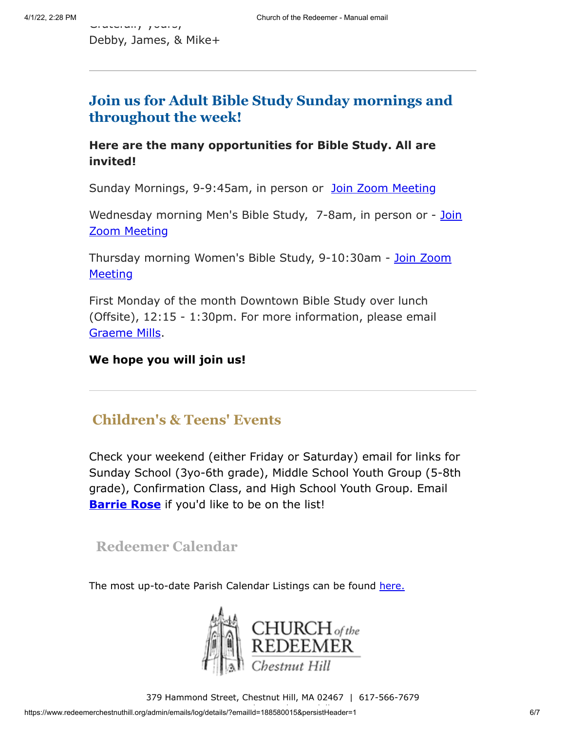$G$ ratefully  $\eta$  yours, Debby, James, & Mike+

## **Join us for Adult Bible Study Sunday mornings and throughout the week!**

### **Here are the many opportunities for Bible Study. All are invited!**

Sunday Mornings, 9-9:45am, in person or [Join Zoom Meeting](https://us02web.zoom.us/j/86566228912?pwd=aGxWTU1PU3Y3TDZsVTdmbXg2UnNvZz09)

[Wednesday morning Men's Bible Study, 7-8am,](https://us02web.zoom.us/j/89392200698?pwd=czIzYmlKT1JCRmkrdlBFM2lJaGdkZz09) in person or - Join Zoom Meeting

[Thursday morning Women's Bible Study, 9-10:30am - Join Zoom](https://us02web.zoom.us/j/82431832126?pwd=ZXBLQUFnL2haSEZyWll3b0R0MEpmUT09#success#success) **Meeting** 

First Monday of the month Downtown Bible Study over lunch (Offsite), 12:15 - 1:30pm. For more information, please email [Graeme Mills](mailto:gmills@cambridgeassociates.com).

### **We hope you will join us!**

## **Children's & Teens' Events**

Check your weekend (either Friday or Saturday) email for links for Sunday School (3yo-6th grade), Middle School Youth Group (5-8th grade), Confirmation Class, and High School Youth Group. Email **[Barrie Rose](mailto:families@redeemerchestnuthill.org)** if you'd like to be on the list!

## **Redeemer Calendar**

The most up-to-date Parish Calendar Listings can be found [here.](https://calendar.google.com/calendar/b/1/r/week/2020/8/19?tab=mc&pli=1)



https://www.redeemerchestnuthill.org/admin/emails/log/details/?emailId=188580015&persistHeader=1 6/7 [1] .<br>https://www.redeemerchestnuthill.org/admin/emails/log/details/?emailId=188580015&persistHeader=1 379 Hammond Street, Chestnut Hill, MA 02467 | 617-566-7679